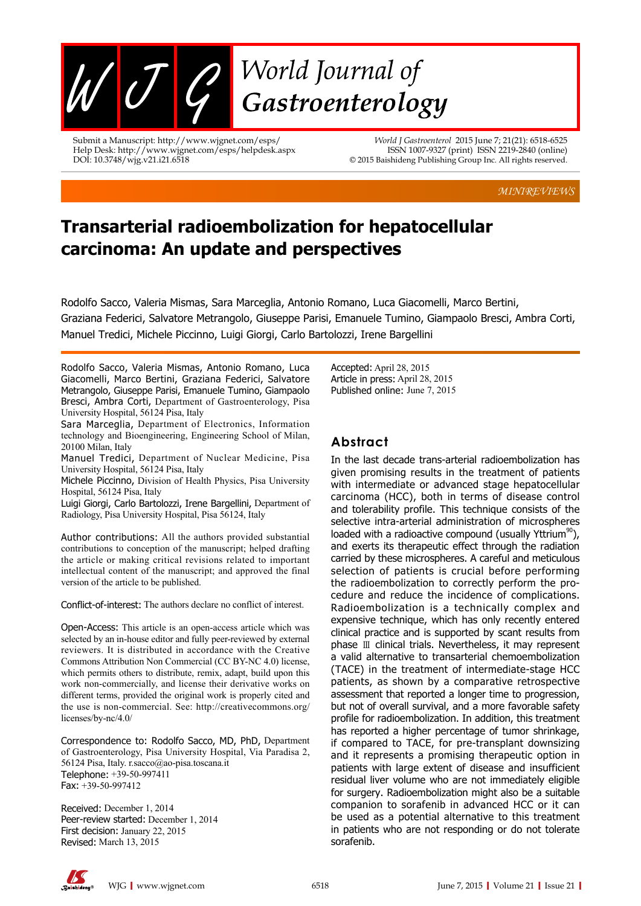

Submit a Manuscript: http://www.wjgnet.com/esps/ Help Desk: http://www.wjgnet.com/esps/helpdesk.aspx DOI: 10.3748/wjg.v21.i21.6518

*World J Gastroenterol* 2015 June 7; 21(21): 6518-6525 ISSN 1007-9327 (print) ISSN 2219-2840 (online) © 2015 Baishideng Publishing Group Inc. All rights reserved.

*MINIREVIEWS*

# **Transarterial radioembolization for hepatocellular carcinoma: An update and perspectives**

Rodolfo Sacco, Valeria Mismas, Sara Marceglia, Antonio Romano, Luca Giacomelli, Marco Bertini, Graziana Federici, Salvatore Metrangolo, Giuseppe Parisi, Emanuele Tumino, Giampaolo Bresci, Ambra Corti, Manuel Tredici, Michele Piccinno, Luigi Giorgi, Carlo Bartolozzi, Irene Bargellini

Rodolfo Sacco, Valeria Mismas, Antonio Romano, Luca Giacomelli, Marco Bertini, Graziana Federici, Salvatore Metrangolo, Giuseppe Parisi, Emanuele Tumino, Giampaolo Bresci, Ambra Corti, Department of Gastroenterology, Pisa University Hospital, 56124 Pisa, Italy

Sara Marceglia, Department of Electronics, Information technology and Bioengineering, Engineering School of Milan, 20100 Milan, Italy

Manuel Tredici, Department of Nuclear Medicine, Pisa University Hospital, 56124 Pisa, Italy

Michele Piccinno, Division of Health Physics, Pisa University Hospital, 56124 Pisa, Italy

Luigi Giorgi, Carlo Bartolozzi, Irene Bargellini, Department of Radiology, Pisa University Hospital, Pisa 56124, Italy

Author contributions: All the authors provided substantial contributions to conception of the manuscript; helped drafting the article or making critical revisions related to important intellectual content of the manuscript; and approved the final version of the article to be published.

Conflict-of-interest: The authors declare no conflict of interest.

Open-Access: This article is an open-access article which was selected by an in-house editor and fully peer-reviewed by external reviewers. It is distributed in accordance with the Creative Commons Attribution Non Commercial (CC BY-NC 4.0) license, which permits others to distribute, remix, adapt, build upon this work non-commercially, and license their derivative works on different terms, provided the original work is properly cited and the use is non-commercial. See: http://creativecommons.org/ licenses/by-nc/4.0/

Correspondence to: Rodolfo Sacco, MD, PhD, Department of Gastroenterology, Pisa University Hospital, Via Paradisa 2, 56124 Pisa, Italy. r.sacco@ao-pisa.toscana.it Telephone: +39-50-997411 Fax: +39-50-997412

Received: December 1, 2014 Peer-review started: December 1, 2014 First decision: January 22, 2015 Revised: March 13, 2015

Accepted: April 28, 2015 Article in press: April 28, 2015 Published online: June 7, 2015

## **Abstract**

In the last decade trans-arterial radioembolization has given promising results in the treatment of patients with intermediate or advanced stage hepatocellular carcinoma (HCC), both in terms of disease control and tolerability profile. This technique consists of the selective intra-arterial administration of microspheres loaded with a radioactive compound (usually Yttrium<sup>90</sup>), and exerts its therapeutic effect through the radiation carried by these microspheres. A careful and meticulous selection of patients is crucial before performing the radioembolization to correctly perform the procedure and reduce the incidence of complications. Radioembolization is a technically complex and expensive technique, which has only recently entered clinical practice and is supported by scant results from phase Ⅲ clinical trials. Nevertheless, it may represent a valid alternative to transarterial chemoembolization (TACE) in the treatment of intermediate-stage HCC patients, as shown by a comparative retrospective assessment that reported a longer time to progression, but not of overall survival, and a more favorable safety profile for radioembolization. In addition, this treatment has reported a higher percentage of tumor shrinkage, if compared to TACE, for pre-transplant downsizing and it represents a promising therapeutic option in patients with large extent of disease and insufficient residual liver volume who are not immediately eligible for surgery. Radioembolization might also be a suitable companion to sorafenib in advanced HCC or it can be used as a potential alternative to this treatment in patients who are not responding or do not tolerate sorafenib.

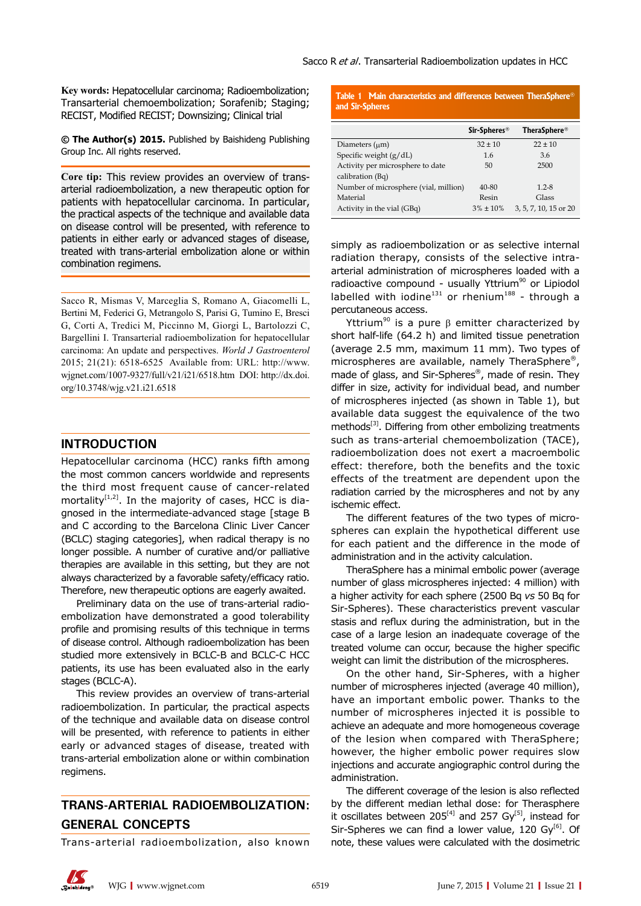**Key words:** Hepatocellular carcinoma; Radioembolization; Transarterial chemoembolization; Sorafenib; Staging; RECIST, Modified RECIST; Downsizing; Clinical trial

**© The Author(s) 2015.** Published by Baishideng Publishing Group Inc. All rights reserved.

**Core tip:** This review provides an overview of transarterial radioembolization, a new therapeutic option for patients with hepatocellular carcinoma. In particular, the practical aspects of the technique and available data on disease control will be presented, with reference to patients in either early or advanced stages of disease, treated with trans-arterial embolization alone or within combination regimens.

Sacco R, Mismas V, Marceglia S, Romano A, Giacomelli L, Bertini M, Federici G, Metrangolo S, Parisi G, Tumino E, Bresci G, Corti A, Tredici M, Piccinno M, Giorgi L, Bartolozzi C, Bargellini I. Transarterial radioembolization for hepatocellular carcinoma: An update and perspectives. *World J Gastroenterol* 2015; 21(21): 6518-6525 Available from: URL: http://www. wjgnet.com/1007-9327/full/v21/i21/6518.htm DOI: http://dx.doi. org/10.3748/wjg.v21.i21.6518

#### **INTRODUCTION**

Hepatocellular carcinoma (HCC) ranks fifth among the most common cancers worldwide and represents the third most frequent cause of cancer-related mortality $[1,2]$ . In the majority of cases, HCC is diagnosed in the intermediate-advanced stage [stage B and C according to the Barcelona Clinic Liver Cancer (BCLC) staging categories], when radical therapy is no longer possible. A number of curative and/or palliative therapies are available in this setting, but they are not always characterized by a favorable safety/efficacy ratio. Therefore, new therapeutic options are eagerly awaited.

Preliminary data on the use of trans-arterial radioembolization have demonstrated a good tolerability profile and promising results of this technique in terms of disease control. Although radioembolization has been studied more extensively in BCLC-B and BCLC-C HCC patients, its use has been evaluated also in the early stages (BCLC-A).

This review provides an overview of trans-arterial radioembolization. In particular, the practical aspects of the technique and available data on disease control will be presented, with reference to patients in either early or advanced stages of disease, treated with trans-arterial embolization alone or within combination regimens.

# **TRANS-ARTERIAL RADIOEMBOLIZATION: GENERAL CONCEPTS**

Trans-arterial radioembolization, also known

**Table 1 Main characteristics and differences between TheraSphere® and Sir-Spheres**

|                                       | Sir-Spheres <sup>®</sup> | <b>TheraSphere<sup>®</sup></b> |
|---------------------------------------|--------------------------|--------------------------------|
| Diameters $(\mu m)$                   | $32 \pm 10$              | $22 \pm 10$                    |
| Specific weight $(g/dL)$              | 1.6                      | 3.6                            |
| Activity per microsphere to date      | 50                       | 2500                           |
| calibration (Bq)                      |                          |                                |
| Number of microsphere (vial, million) | 40-80                    | $1.2 - 8$                      |
| Material                              | Resin                    | Glass                          |
| Activity in the vial (GBq)            | $3\% \pm 10\%$           | 3, 5, 7, 10, 15 or 20          |

simply as radioembolization or as selective internal radiation therapy, consists of the selective intraarterial administration of microspheres loaded with a radioactive compound - usually Yttrium<sup>90</sup> or Lipiodol labelled with iodine<sup>131</sup> or rhenium<sup>188</sup> - through a percutaneous access.

Yttrium<sup>90</sup> is a pure  $β$  emitter characterized by short half-life (64.2 h) and limited tissue penetration (average 2.5 mm, maximum 11 mm). Two types of microspheres are available, namely TheraSphere®, made of glass, and Sir-Spheres®, made of resin. They differ in size, activity for individual bead, and number of microspheres injected (as shown in Table 1), but available data suggest the equivalence of the two methods<sup>[3]</sup>. Differing from other embolizing treatments such as trans-arterial chemoembolization (TACE), radioembolization does not exert a macroembolic effect: therefore, both the benefits and the toxic effects of the treatment are dependent upon the radiation carried by the microspheres and not by any ischemic effect.

The different features of the two types of microspheres can explain the hypothetical different use for each patient and the difference in the mode of administration and in the activity calculation.

TheraSphere has a minimal embolic power (average number of glass microspheres injected: 4 million) with a higher activity for each sphere (2500 Bq *vs* 50 Bq for Sir-Spheres). These characteristics prevent vascular stasis and reflux during the administration, but in the case of a large lesion an inadequate coverage of the treated volume can occur, because the higher specific weight can limit the distribution of the microspheres.

On the other hand, Sir-Spheres, with a higher number of microspheres injected (average 40 million), have an important embolic power. Thanks to the number of microspheres injected it is possible to achieve an adequate and more homogeneous coverage of the lesion when compared with TheraSphere; however, the higher embolic power requires slow injections and accurate angiographic control during the administration.

The different coverage of the lesion is also reflected by the different median lethal dose: for Therasphere it oscillates between 205<sup>[4]</sup> and 257 Gy<sup>[5]</sup>, instead for Sir-Spheres we can find a lower value, 120 Gy $<sup>[6]</sup>$ . Of</sup> note, these values were calculated with the dosimetric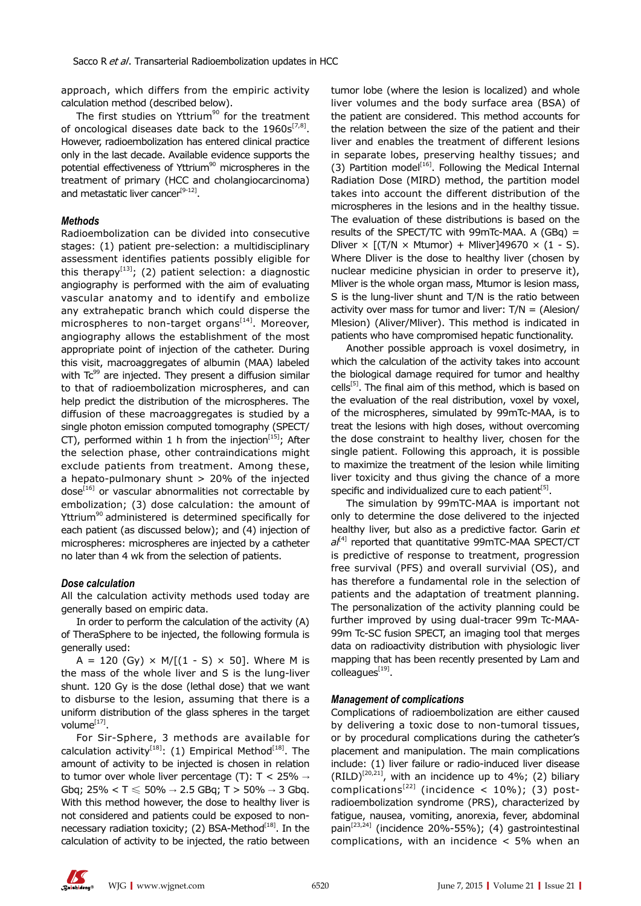approach, which differs from the empiric activity calculation method (described below).

The first studies on Yttrium<sup>90</sup> for the treatment of oncological diseases date back to the  $1960s^{[7,8]}$ . However, radioembolization has entered clinical practice only in the last decade. Available evidence supports the potential effectiveness of Yttrium<sup>90</sup> microspheres in the treatment of primary (HCC and cholangiocarcinoma) and metastatic liver cancer<sup>[9-12]</sup>.

#### *Methods*

Radioembolization can be divided into consecutive stages: (1) patient pre-selection: a multidisciplinary assessment identifies patients possibly eligible for this therapy<sup>[13]</sup>; (2) patient selection: a diagnostic angiography is performed with the aim of evaluating vascular anatomy and to identify and embolize any extrahepatic branch which could disperse the microspheres to non-target organs $[14]$ . Moreover, angiography allows the establishment of the most appropriate point of injection of the catheter. During this visit, macroaggregates of albumin (MAA) labeled with  $Tc^{99}$  are injected. They present a diffusion similar to that of radioembolization microspheres, and can help predict the distribution of the microspheres. The diffusion of these macroaggregates is studied by a single photon emission computed tomography (SPECT/ CT), performed within 1 h from the injection $^{[15]}$ ; After the selection phase, other contraindications might exclude patients from treatment. Among these, a hepato-pulmonary shunt > 20% of the injected dose<sup>[16]</sup> or vascular abnormalities not correctable by embolization; (3) dose calculation: the amount of Yttrium<sup>90</sup> administered is determined specifically for each patient (as discussed below); and (4) injection of microspheres: microspheres are injected by a catheter no later than 4 wk from the selection of patients.

#### *Dose calculation*

All the calculation activity methods used today are generally based on empiric data.

In order to perform the calculation of the activity (A) of TheraSphere to be injected, the following formula is generally used:

A = 120 (Gy)  $\times$  M/[(1 - S)  $\times$  50]. Where M is the mass of the whole liver and S is the lung-liver shunt. 120 Gy is the dose (lethal dose) that we want to disburse to the lesion, assuming that there is a uniform distribution of the glass spheres in the target volume<sup>[17]</sup>.

For Sir-Sphere, 3 methods are available for calculation activity<sup>[18]</sup>: (1) Empirical Method<sup>[18]</sup>. The amount of activity to be injected is chosen in relation to tumor over whole liver percentage (T):  $T < 25\% \rightarrow$ Gbq; 25% < T ≤ 50% → 2.5 GBq; T > 50% → 3 Gbq. With this method however, the dose to healthy liver is not considered and patients could be exposed to nonnecessary radiation toxicity; (2) BSA-Method $[18]$ . In the calculation of activity to be injected, the ratio between

tumor lobe (where the lesion is localized) and whole liver volumes and the body surface area (BSA) of the patient are considered. This method accounts for the relation between the size of the patient and their liver and enables the treatment of different lesions in separate lobes, preserving healthy tissues; and (3) Partition model<sup>[16]</sup>. Following the Medical Internal Radiation Dose (MIRD) method, the partition model takes into account the different distribution of the microspheres in the lesions and in the healthy tissue. The evaluation of these distributions is based on the results of the SPECT/TC with 99mTc-MAA. A (GBq) = Dliver  $\times$  [(T/N  $\times$  Mtumor) + Mliver]49670  $\times$  (1 - S). Where Dliver is the dose to healthy liver (chosen by nuclear medicine physician in order to preserve it), Mliver is the whole organ mass, Mtumor is lesion mass, S is the lung-liver shunt and T/N is the ratio between activity over mass for tumor and liver:  $T/N = (A \le 0)$ Mlesion) (Aliver/Mliver). This method is indicated in patients who have compromised hepatic functionality.

Another possible approach is voxel dosimetry, in which the calculation of the activity takes into account the biological damage required for tumor and healthy  $\text{cells}^{[5]}$ . The final aim of this method, which is based on the evaluation of the real distribution, voxel by voxel, of the microspheres, simulated by 99mTc-MAA, is to treat the lesions with high doses, without overcoming the dose constraint to healthy liver, chosen for the single patient. Following this approach, it is possible to maximize the treatment of the lesion while limiting liver toxicity and thus giving the chance of a more specific and individualized cure to each patient<sup>[5]</sup>.

The simulation by 99mTC-MAA is important not only to determine the dose delivered to the injected healthy liver, but also as a predictive factor. Garin *et al*[4] reported that quantitative 99mTC-MAA SPECT/CT is predictive of response to treatment, progression free survival (PFS) and overall survivial (OS), and has therefore a fundamental role in the selection of patients and the adaptation of treatment planning. The personalization of the activity planning could be further improved by using dual-tracer 99m Tc-MAA-99m Tc-SC fusion SPECT, an imaging tool that merges data on radioactivity distribution with physiologic liver mapping that has been recently presented by Lam and colleagues<sup>[19]</sup>.

#### *Management of complications*

Complications of radioembolization are either caused by delivering a toxic dose to non-tumoral tissues, or by procedural complications during the catheter's placement and manipulation. The main complications include: (1) liver failure or radio-induced liver disease  $(RILD)^{[20,21]}$ , with an incidence up to 4%; (2) biliary complications<sup>[22]</sup> (incidence < 10%); (3) postradioembolization syndrome (PRS), characterized by fatigue, nausea, vomiting, anorexia, fever, abdominal pain<sup>[23,24]</sup> (incidence 20%-55%); (4) gastrointestinal complications, with an incidence < 5% when an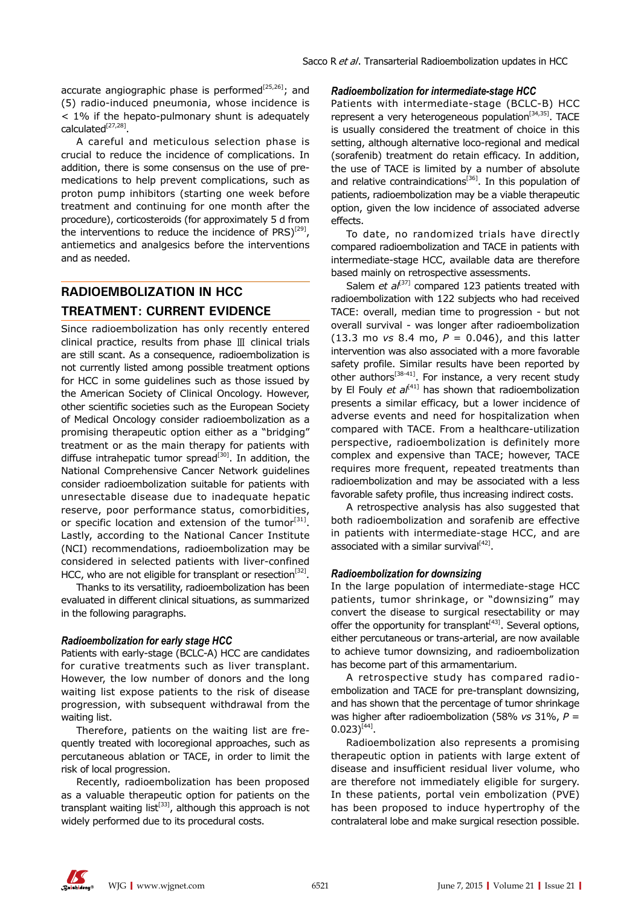accurate angiographic phase is performed<sup>[25,26]</sup>; and (5) radio-induced pneumonia, whose incidence is < 1% if the hepato-pulmonary shunt is adequately calculated[27,28].

A careful and meticulous selection phase is crucial to reduce the incidence of complications. In addition, there is some consensus on the use of premedications to help prevent complications, such as proton pump inhibitors (starting one week before treatment and continuing for one month after the procedure), corticosteroids (for approximately 5 d from the interventions to reduce the incidence of  $PRS$ <sup>[29]</sup>, antiemetics and analgesics before the interventions and as needed.

## **RADIOEMBOLIZATION IN HCC TREATMENT: CURRENT EVIDENCE**

Since radioembolization has only recently entered clinical practice, results from phase Ⅲ clinical trials are still scant. As a consequence, radioembolization is not currently listed among possible treatment options for HCC in some guidelines such as those issued by the American Society of Clinical Oncology. However, other scientific societies such as the European Society of Medical Oncology consider radioembolization as a promising therapeutic option either as a "bridging" treatment or as the main therapy for patients with diffuse intrahepatic tumor spread $[30]$ . In addition, the National Comprehensive Cancer Network guidelines consider radioembolization suitable for patients with unresectable disease due to inadequate hepatic reserve, poor performance status, comorbidities, or specific location and extension of the tumor  $[31]$ . Lastly, according to the National Cancer Institute (NCI) recommendations, radioembolization may be considered in selected patients with liver-confined HCC, who are not eligible for transplant or resection<sup>[32]</sup>.

Thanks to its versatility, radioembolization has been evaluated in different clinical situations, as summarized in the following paragraphs.

#### *Radioembolization for early stage HCC*

Patients with early-stage (BCLC-A) HCC are candidates for curative treatments such as liver transplant. However, the low number of donors and the long waiting list expose patients to the risk of disease progression, with subsequent withdrawal from the waiting list.

Therefore, patients on the waiting list are frequently treated with locoregional approaches, such as percutaneous ablation or TACE, in order to limit the risk of local progression.

Recently, radioembolization has been proposed as a valuable therapeutic option for patients on the transplant waiting list<sup>[33]</sup>, although this approach is not widely performed due to its procedural costs.

#### *Radioembolization for intermediate-stage HCC*

Patients with intermediate-stage (BCLC-B) HCC represent a very heterogeneous population<sup>[34,35]</sup>. TACE is usually considered the treatment of choice in this setting, although alternative loco-regional and medical (sorafenib) treatment do retain efficacy. In addition, the use of TACE is limited by a number of absolute and relative contraindications<sup>[36]</sup>. In this population of patients, radioembolization may be a viable therapeutic option, given the low incidence of associated adverse effects.

To date, no randomized trials have directly compared radioembolization and TACE in patients with intermediate-stage HCC, available data are therefore based mainly on retrospective assessments.

Salem *et al*<sup>[37]</sup> compared 123 patients treated with radioembolization with 122 subjects who had received TACE: overall, median time to progression - but not overall survival - was longer after radioembolization (13.3 mo *vs* 8.4 mo, *P* = 0.046), and this latter intervention was also associated with a more favorable safety profile. Similar results have been reported by other authors<sup>[38-41]</sup>. For instance, a very recent study by El Fouly *et al*<sup>[41]</sup> has shown that radioembolization presents a similar efficacy, but a lower incidence of adverse events and need for hospitalization when compared with TACE. From a healthcare-utilization perspective, radioembolization is definitely more complex and expensive than TACE; however, TACE requires more frequent, repeated treatments than radioembolization and may be associated with a less favorable safety profile, thus increasing indirect costs.

A retrospective analysis has also suggested that both radioembolization and sorafenib are effective in patients with intermediate-stage HCC, and are associated with a similar survival $^{[42]}$ .

#### *Radioembolization for downsizing*

In the large population of intermediate-stage HCC patients, tumor shrinkage, or "downsizing" may convert the disease to surgical resectability or may offer the opportunity for transplant $[43]$ . Several options, either percutaneous or trans-arterial, are now available to achieve tumor downsizing, and radioembolization has become part of this armamentarium.

A retrospective study has compared radioembolization and TACE for pre-transplant downsizing, and has shown that the percentage of tumor shrinkage was higher after radioembolization (58% *vs* 31%, *P* =  $0.023$ <sup>[44]</sup>.

Radioembolization also represents a promising therapeutic option in patients with large extent of disease and insufficient residual liver volume, who are therefore not immediately eligible for surgery. In these patients, portal vein embolization (PVE) has been proposed to induce hypertrophy of the contralateral lobe and make surgical resection possible.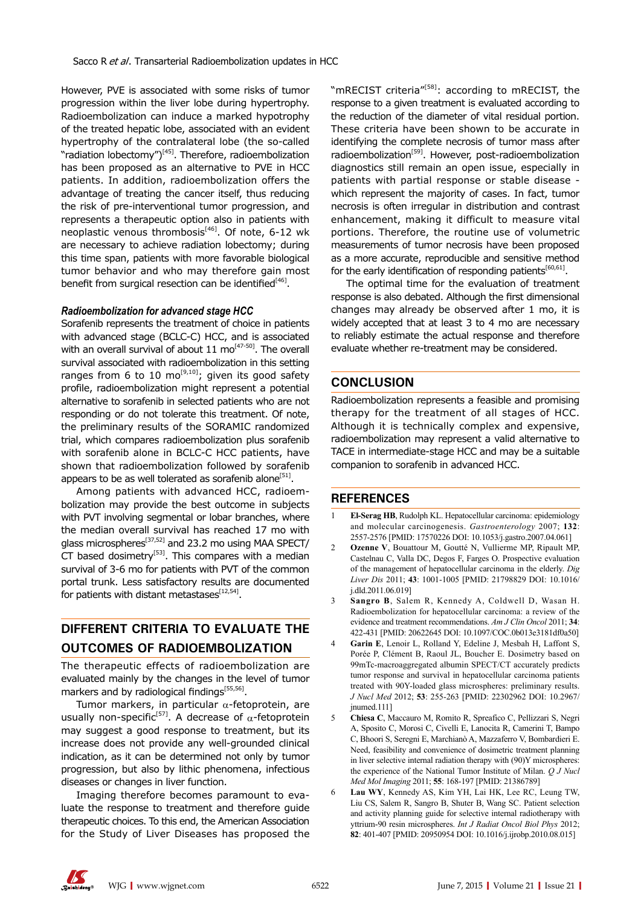However, PVE is associated with some risks of tumor progression within the liver lobe during hypertrophy. Radioembolization can induce a marked hypotrophy of the treated hepatic lobe, associated with an evident hypertrophy of the contralateral lobe (the so-called "radiation lobectomy")<sup>[45]</sup>. Therefore, radioembolization has been proposed as an alternative to PVE in HCC patients. In addition, radioembolization offers the advantage of treating the cancer itself, thus reducing the risk of pre-interventional tumor progression, and represents a therapeutic option also in patients with neoplastic venous thrombosis<sup>[46]</sup>. Of note, 6-12 wk are necessary to achieve radiation lobectomy; during this time span, patients with more favorable biological tumor behavior and who may therefore gain most benefit from surgical resection can be identified $[46]$ .

#### *Radioembolization for advanced stage HCC*

Sorafenib represents the treatment of choice in patients with advanced stage (BCLC-C) HCC, and is associated with an overall survival of about  $11 \text{ mol}^{47-50}$ . The overall survival associated with radioembolization in this setting ranges from 6 to 10  $mo^{[9,10]}$ ; given its good safety profile, radioembolization might represent a potential alternative to sorafenib in selected patients who are not responding or do not tolerate this treatment. Of note, the preliminary results of the SORAMIC randomized trial, which compares radioembolization plus sorafenib with sorafenib alone in BCLC-C HCC patients, have shown that radioembolization followed by sorafenib appears to be as well tolerated as sorafenib alone<sup>[51]</sup>.

Among patients with advanced HCC, radioembolization may provide the best outcome in subjects with PVT involving segmental or lobar branches, where the median overall survival has reached 17 mo with glass microspheres<sup>[37,52]</sup> and 23.2 mo using MAA SPECT/ CT based dosimetry $[53]$ . This compares with a median survival of 3-6 mo for patients with PVT of the common portal trunk. Less satisfactory results are documented for patients with distant metastases $^{[12,54]}$ .

## **DIFFERENT CRITERIA TO EVALUATE THE OUTCOMES OF RADIOEMBOLIZATION**

The therapeutic effects of radioembolization are evaluated mainly by the changes in the level of tumor markers and by radiological findings<sup>[55,56]</sup>.

Tumor markers, in particular  $\alpha$ -fetoprotein, are usually non-specific<sup>[57]</sup>. A decrease of  $\alpha$ -fetoprotein may suggest a good response to treatment, but its increase does not provide any well-grounded clinical indication, as it can be determined not only by tumor progression, but also by lithic phenomena, infectious diseases or changes in liver function.

Imaging therefore becomes paramount to evaluate the response to treatment and therefore guide therapeutic choices. To this end, the American Association for the Study of Liver Diseases has proposed the "mRECIST criteria"<sup>[58]</sup>: according to mRECIST, the response to a given treatment is evaluated according to the reduction of the diameter of vital residual portion. These criteria have been shown to be accurate in identifying the complete necrosis of tumor mass after radioembolization<sup>[59]</sup>. However, post-radioembolization diagnostics still remain an open issue, especially in patients with partial response or stable disease which represent the majority of cases. In fact, tumor necrosis is often irregular in distribution and contrast enhancement, making it difficult to measure vital portions. Therefore, the routine use of volumetric measurements of tumor necrosis have been proposed as a more accurate, reproducible and sensitive method for the early identification of responding patients $[60,61]$ .

The optimal time for the evaluation of treatment response is also debated. Although the first dimensional changes may already be observed after 1 mo, it is widely accepted that at least 3 to 4 mo are necessary to reliably estimate the actual response and therefore evaluate whether re-treatment may be considered.

#### **CONCLUSION**

Radioembolization represents a feasible and promising therapy for the treatment of all stages of HCC. Although it is technically complex and expensive, radioembolization may represent a valid alternative to TACE in intermediate-stage HCC and may be a suitable companion to sorafenib in advanced HCC.

#### **REFERENCES**

- 1 **El-Serag HB**, Rudolph KL. Hepatocellular carcinoma: epidemiology and molecular carcinogenesis. *Gastroenterology* 2007; **132**: 2557-2576 [PMID: 17570226 DOI: 10.1053/j.gastro.2007.04.061]
- 2 **Ozenne V**, Bouattour M, Goutté N, Vullierme MP, Ripault MP, Castelnau C, Valla DC, Degos F, Farges O. Prospective evaluation of the management of hepatocellular carcinoma in the elderly. *Dig Liver Dis* 2011; **43**: 1001-1005 [PMID: 21798829 DOI: 10.1016/ j.dld.2011.06.019]
- 3 **Sangro B**, Salem R, Kennedy A, Coldwell D, Wasan H. Radioembolization for hepatocellular carcinoma: a review of the evidence and treatment recommendations. *Am J Clin Oncol* 2011; **34**: 422-431 [PMID: 20622645 DOI: 10.1097/COC.0b013e3181df0a50]
- 4 **Garin E**, Lenoir L, Rolland Y, Edeline J, Mesbah H, Laffont S, Porée P, Clément B, Raoul JL, Boucher E. Dosimetry based on 99mTc-macroaggregated albumin SPECT/CT accurately predicts tumor response and survival in hepatocellular carcinoma patients treated with 90Y-loaded glass microspheres: preliminary results. *J Nucl Med* 2012; **53**: 255-263 [PMID: 22302962 DOI: 10.2967/ inumed.1111
- 5 **Chiesa C**, Maccauro M, Romito R, Spreafico C, Pellizzari S, Negri A, Sposito C, Morosi C, Civelli E, Lanocita R, Camerini T, Bampo C, Bhoori S, Seregni E, Marchianò A, Mazzaferro V, Bombardieri E. Need, feasibility and convenience of dosimetric treatment planning in liver selective internal radiation therapy with (90)Y microspheres: the experience of the National Tumor Institute of Milan. *Q J Nucl Med Mol Imaging* 2011; **55**: 168-197 [PMID: 21386789]
- 6 **Lau WY**, Kennedy AS, Kim YH, Lai HK, Lee RC, Leung TW, Liu CS, Salem R, Sangro B, Shuter B, Wang SC. Patient selection and activity planning guide for selective internal radiotherapy with yttrium-90 resin microspheres. *Int J Radiat Oncol Biol Phys* 2012; **82**: 401-407 [PMID: 20950954 DOI: 10.1016/j.ijrobp.2010.08.015]

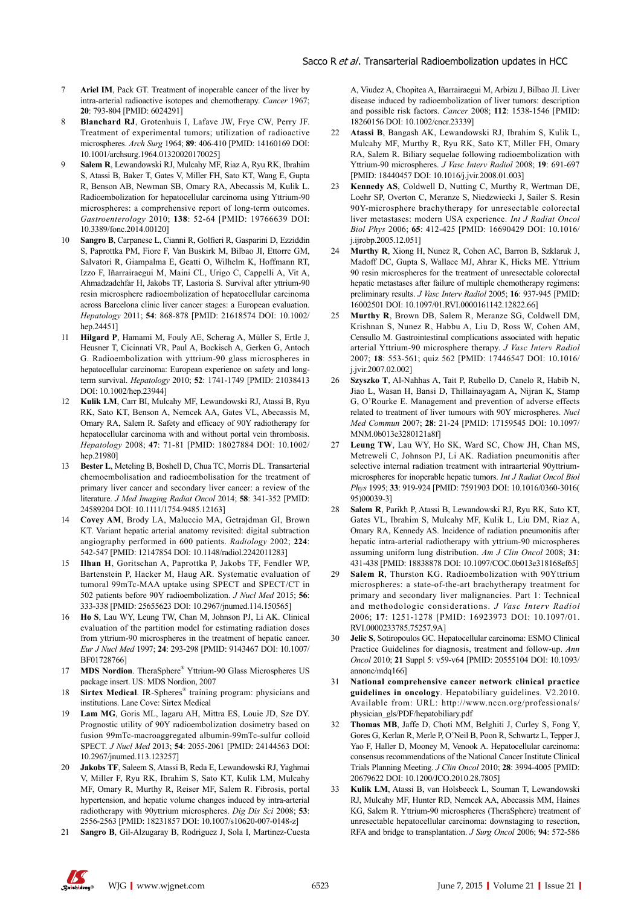- 7 **Ariel IM**, Pack GT. Treatment of inoperable cancer of the liver by intra-arterial radioactive isotopes and chemotherapy. *Cancer* 1967; **20**: 793-804 [PMID: 6024291]
- 8 **Blanchard RJ**, Grotenhuis I, Lafave JW, Frye CW, Perry JF. Treatment of experimental tumors; utilization of radioactive microspheres. *Arch Surg* 1964; **89**: 406-410 [PMID: 14160169 DOI: 10.1001/archsurg.1964.01320020170025]
- 9 **Salem R**, Lewandowski RJ, Mulcahy MF, Riaz A, Ryu RK, Ibrahim S, Atassi B, Baker T, Gates V, Miller FH, Sato KT, Wang E, Gupta R, Benson AB, Newman SB, Omary RA, Abecassis M, Kulik L. Radioembolization for hepatocellular carcinoma using Yttrium-90 microspheres: a comprehensive report of long-term outcomes. *Gastroenterology* 2010; **138**: 52-64 [PMID: 19766639 DOI: 10.3389/fonc.2014.00120]
- 10 **Sangro B**, Carpanese L, Cianni R, Golfieri R, Gasparini D, Ezziddin S, Paprottka PM, Fiore F, Van Buskirk M, Bilbao JI, Ettorre GM, Salvatori R, Giampalma E, Geatti O, Wilhelm K, Hoffmann RT, Izzo F, Iñarrairaegui M, Maini CL, Urigo C, Cappelli A, Vit A, Ahmadzadehfar H, Jakobs TF, Lastoria S. Survival after yttrium-90 resin microsphere radioembolization of hepatocellular carcinoma across Barcelona clinic liver cancer stages: a European evaluation. *Hepatology* 2011; **54**: 868-878 [PMID: 21618574 DOI: 10.1002/ hep.24451]
- 11 **Hilgard P**, Hamami M, Fouly AE, Scherag A, Müller S, Ertle J, Heusner T, Cicinnati VR, Paul A, Bockisch A, Gerken G, Antoch G. Radioembolization with yttrium-90 glass microspheres in hepatocellular carcinoma: European experience on safety and longterm survival. *Hepatology* 2010; **52**: 1741-1749 [PMID: 21038413 DOI: 10.1002/hep.23944]
- 12 **Kulik LM**, Carr BI, Mulcahy MF, Lewandowski RJ, Atassi B, Ryu RK, Sato KT, Benson A, Nemcek AA, Gates VL, Abecassis M, Omary RA, Salem R. Safety and efficacy of 90Y radiotherapy for hepatocellular carcinoma with and without portal vein thrombosis. *Hepatology* 2008; **47**: 71-81 [PMID: 18027884 DOI: 10.1002/ hep.21980]
- 13 **Bester L**, Meteling B, Boshell D, Chua TC, Morris DL. Transarterial chemoembolisation and radioembolisation for the treatment of primary liver cancer and secondary liver cancer: a review of the literature. *J Med Imaging Radiat Oncol* 2014; **58**: 341-352 [PMID: 24589204 DOI: 10.1111/1754-9485.12163]
- 14 **Covey AM**, Brody LA, Maluccio MA, Getrajdman GI, Brown KT. Variant hepatic arterial anatomy revisited: digital subtraction angiography performed in 600 patients. *Radiology* 2002; **224**: 542-547 [PMID: 12147854 DOI: 10.1148/radiol.2242011283]
- 15 **Ilhan H**, Goritschan A, Paprottka P, Jakobs TF, Fendler WP, Bartenstein P, Hacker M, Haug AR. Systematic evaluation of tumoral 99mTc-MAA uptake using SPECT and SPECT/CT in 502 patients before 90Y radioembolization. *J Nucl Med* 2015; **56**: 333-338 [PMID: 25655623 DOI: 10.2967/jnumed.114.150565]
- 16 **Ho S**, Lau WY, Leung TW, Chan M, Johnson PJ, Li AK. Clinical evaluation of the partition model for estimating radiation doses from yttrium-90 microspheres in the treatment of hepatic cancer. *Eur J Nucl Med* 1997; **24**: 293-298 [PMID: 9143467 DOI: 10.1007/ BF01728766]
- 17 **MDS Nordion**. TheraSphere® Yttrium-90 Glass Microspheres US package insert. US: MDS Nordion, 2007
- 18 **Sirtex Medical**. IR-Spheres® training program: physicians and institutions. Lane Cove: Sirtex Medical
- 19 **Lam MG**, Goris ML, Iagaru AH, Mittra ES, Louie JD, Sze DY. Prognostic utility of 90Y radioembolization dosimetry based on fusion 99mTc-macroaggregated albumin-99mTc-sulfur colloid SPECT. *J Nucl Med* 2013; **54**: 2055-2061 [PMID: 24144563 DOI: 10.2967/jnumed.113.123257]
- 20 **Jakobs TF**, Saleem S, Atassi B, Reda E, Lewandowski RJ, Yaghmai V, Miller F, Ryu RK, Ibrahim S, Sato KT, Kulik LM, Mulcahy MF, Omary R, Murthy R, Reiser MF, Salem R. Fibrosis, portal hypertension, and hepatic volume changes induced by intra-arterial radiotherapy with 90yttrium microspheres. *Dig Dis Sci* 2008; **53**: 2556-2563 [PMID: 18231857 DOI: 10.1007/s10620-007-0148-z]
- 21 **Sangro B**, Gil-Alzugaray B, Rodriguez J, Sola I, Martinez-Cuesta

A, Viudez A, Chopitea A, Iñarrairaegui M, Arbizu J, Bilbao JI. Liver disease induced by radioembolization of liver tumors: description and possible risk factors. *Cancer* 2008; **112**: 1538-1546 [PMID: 18260156 DOI: 10.1002/cncr.23339]

- 22 **Atassi B**, Bangash AK, Lewandowski RJ, Ibrahim S, Kulik L, Mulcahy MF, Murthy R, Ryu RK, Sato KT, Miller FH, Omary RA, Salem R. Biliary sequelae following radioembolization with Yttrium-90 microspheres. *J Vasc Interv Radiol* 2008; **19**: 691-697 [PMID: 18440457 DOI: 10.1016/j.jvir.2008.01.003]
- Kennedy AS, Coldwell D, Nutting C, Murthy R, Wertman DE, Loehr SP, Overton C, Meranze S, Niedzwiecki J, Sailer S. Resin 90Y-microsphere brachytherapy for unresectable colorectal liver metastases: modern USA experience. *Int J Radiat Oncol Biol Phys* 2006; **65**: 412-425 [PMID: 16690429 DOI: 10.1016/ j.ijrobp.2005.12.051]
- 24 **Murthy R**, Xiong H, Nunez R, Cohen AC, Barron B, Szklaruk J, Madoff DC, Gupta S, Wallace MJ, Ahrar K, Hicks ME. Yttrium 90 resin microspheres for the treatment of unresectable colorectal hepatic metastases after failure of multiple chemotherapy regimens: preliminary results. *J Vasc Interv Radiol* 2005; **16**: 937-945 [PMID: 16002501 DOI: 10.1097/01.RVI.0000161142.12822.66]
- 25 **Murthy R**, Brown DB, Salem R, Meranze SG, Coldwell DM, Krishnan S, Nunez R, Habbu A, Liu D, Ross W, Cohen AM, Censullo M. Gastrointestinal complications associated with hepatic arterial Yttrium-90 microsphere therapy. *J Vasc Interv Radiol* 2007; **18**: 553-561; quiz 562 [PMID: 17446547 DOI: 10.1016/ j.jvir.2007.02.002]
- 26 **Szyszko T**, Al-Nahhas A, Tait P, Rubello D, Canelo R, Habib N, Jiao L, Wasan H, Bansi D, Thillainayagam A, Nijran K, Stamp G, O'Rourke E. Management and prevention of adverse effects related to treatment of liver tumours with 90Y microspheres. *Nucl Med Commun* 2007; **28**: 21-24 [PMID: 17159545 DOI: 10.1097/ MNM.0b013e3280121a8f]
- 27 **Leung TW**, Lau WY, Ho SK, Ward SC, Chow JH, Chan MS, Metreweli C, Johnson PJ, Li AK. Radiation pneumonitis after selective internal radiation treatment with intraarterial 90yttriummicrospheres for inoperable hepatic tumors. *Int J Radiat Oncol Biol Phys* 1995; **33**: 919-924 [PMID: 7591903 DOI: 10.1016/0360-3016( 95)00039-3]
- 28 **Salem R**, Parikh P, Atassi B, Lewandowski RJ, Ryu RK, Sato KT, Gates VL, Ibrahim S, Mulcahy MF, Kulik L, Liu DM, Riaz A, Omary RA, Kennedy AS. Incidence of radiation pneumonitis after hepatic intra-arterial radiotherapy with yttrium-90 microspheres assuming uniform lung distribution. *Am J Clin Oncol* 2008; **31**: 431-438 [PMID: 18838878 DOI: 10.1097/COC.0b013e318168ef65]
- 29 **Salem R**, Thurston KG. Radioembolization with 90Yttrium microspheres: a state-of-the-art brachytherapy treatment for primary and secondary liver malignancies. Part 1: Technical and methodologic considerations. *J Vasc Interv Radiol* 2006; **17**: 1251-1278 [PMID: 16923973 DOI: 10.1097/01. RVI.0000233785.75257.9A]
- 30 **Jelic S**, Sotiropoulos GC. Hepatocellular carcinoma: ESMO Clinical Practice Guidelines for diagnosis, treatment and follow-up. *Ann Oncol* 2010; **21** Suppl 5: v59-v64 [PMID: 20555104 DOI: 10.1093/ annonc/mdq166]
- 31 **National comprehensive cancer network clinical practice guidelines in oncology**. Hepatobiliary guidelines. V2.2010. Available from: URL: http://www.nccn.org/professionals/ physician\_gls/PDF/hepatobiliary.pdf
- 32 **Thomas MB**, Jaffe D, Choti MM, Belghiti J, Curley S, Fong Y, Gores G, Kerlan R, Merle P, O'Neil B, Poon R, Schwartz L, Tepper J, Yao F, Haller D, Mooney M, Venook A. Hepatocellular carcinoma: consensus recommendations of the National Cancer Institute Clinical Trials Planning Meeting. *J Clin Oncol* 2010; **28**: 3994-4005 [PMID: 20679622 DOI: 10.1200/JCO.2010.28.7805]
- 33 **Kulik LM**, Atassi B, van Holsbeeck L, Souman T, Lewandowski RJ, Mulcahy MF, Hunter RD, Nemcek AA, Abecassis MM, Haines KG, Salem R. Yttrium-90 microspheres (TheraSphere) treatment of unresectable hepatocellular carcinoma: downstaging to resection, RFA and bridge to transplantation. *J Surg Oncol* 2006; **94**: 572-586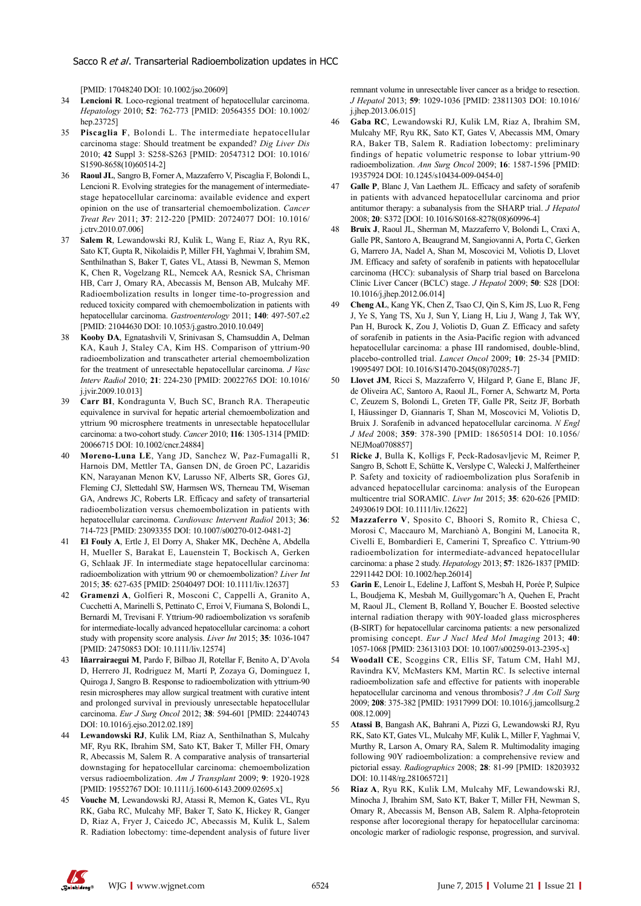[PMID: 17048240 DOI: 10.1002/jso.20609]

- 34 **Lencioni R**. Loco-regional treatment of hepatocellular carcinoma. *Hepatology* 2010; **52**: 762-773 [PMID: 20564355 DOI: 10.1002/ hep.23725]
- 35 **Piscaglia F**, Bolondi L. The intermediate hepatocellular carcinoma stage: Should treatment be expanded? *Dig Liver Dis* 2010; **42** Suppl 3: S258-S263 [PMID: 20547312 DOI: 10.1016/ S1590-8658(10)60514-2]
- 36 **Raoul JL**, Sangro B, Forner A, Mazzaferro V, Piscaglia F, Bolondi L, Lencioni R. Evolving strategies for the management of intermediatestage hepatocellular carcinoma: available evidence and expert opinion on the use of transarterial chemoembolization. *Cancer Treat Rev* 2011; **37**: 212-220 [PMID: 20724077 DOI: 10.1016/ j.ctrv.2010.07.006]
- 37 **Salem R**, Lewandowski RJ, Kulik L, Wang E, Riaz A, Ryu RK, Sato KT, Gupta R, Nikolaidis P, Miller FH, Yaghmai V, Ibrahim SM, Senthilnathan S, Baker T, Gates VL, Atassi B, Newman S, Memon K, Chen R, Vogelzang RL, Nemcek AA, Resnick SA, Chrisman HB, Carr J, Omary RA, Abecassis M, Benson AB, Mulcahy MF. Radioembolization results in longer time-to-progression and reduced toxicity compared with chemoembolization in patients with hepatocellular carcinoma. *Gastroenterology* 2011; **140**: 497-507.e2 [PMID: 21044630 DOI: 10.1053/j.gastro.2010.10.049]
- 38 **Kooby DA**, Egnatashvili V, Srinivasan S, Chamsuddin A, Delman KA, Kauh J, Staley CA, Kim HS. Comparison of yttrium-90 radioembolization and transcatheter arterial chemoembolization for the treatment of unresectable hepatocellular carcinoma. *J Vasc Interv Radiol* 2010; **21**: 224-230 [PMID: 20022765 DOI: 10.1016/ j.jvir.2009.10.013]
- 39 **Carr BI**, Kondragunta V, Buch SC, Branch RA. Therapeutic equivalence in survival for hepatic arterial chemoembolization and yttrium 90 microsphere treatments in unresectable hepatocellular carcinoma: a two-cohort study. *Cancer* 2010; **116**: 1305-1314 [PMID: 20066715 DOI: 10.1002/cncr.24884]
- 40 **Moreno-Luna LE**, Yang JD, Sanchez W, Paz-Fumagalli R, Harnois DM, Mettler TA, Gansen DN, de Groen PC, Lazaridis KN, Narayanan Menon KV, Larusso NF, Alberts SR, Gores GJ, Fleming CJ, Slettedahl SW, Harmsen WS, Therneau TM, Wiseman GA, Andrews JC, Roberts LR. Efficacy and safety of transarterial radioembolization versus chemoembolization in patients with hepatocellular carcinoma. *Cardiovasc Intervent Radiol* 2013; **36**: 714-723 [PMID: 23093355 DOI: 10.1007/s00270-012-0481-2]
- 41 **El Fouly A**, Ertle J, El Dorry A, Shaker MK, Dechêne A, Abdella H, Mueller S, Barakat E, Lauenstein T, Bockisch A, Gerken G, Schlaak JF. In intermediate stage hepatocellular carcinoma: radioembolization with yttrium 90 or chemoembolization? *Liver Int* 2015; **35**: 627-635 [PMID: 25040497 DOI: 10.1111/liv.12637]
- 42 **Gramenzi A**, Golfieri R, Mosconi C, Cappelli A, Granito A, Cucchetti A, Marinelli S, Pettinato C, Erroi V, Fiumana S, Bolondi L, Bernardi M, Trevisani F. Yttrium-90 radioembolization vs sorafenib for intermediate-locally advanced hepatocellular carcinoma: a cohort study with propensity score analysis. *Liver Int* 2015; **35**: 1036-1047 [PMID: 24750853 DOI: 10.1111/liv.12574]
- 43 **Iñarrairaegui M**, Pardo F, Bilbao JI, Rotellar F, Benito A, D'Avola D, Herrero JI, Rodriguez M, Martí P, Zozaya G, Dominguez I, Quiroga J, Sangro B. Response to radioembolization with yttrium-90 resin microspheres may allow surgical treatment with curative intent and prolonged survival in previously unresectable hepatocellular carcinoma. *Eur J Surg Oncol* 2012; **38**: 594-601 [PMID: 22440743 DOI: 10.1016/j.ejso.2012.02.189]
- 44 **Lewandowski RJ**, Kulik LM, Riaz A, Senthilnathan S, Mulcahy MF, Ryu RK, Ibrahim SM, Sato KT, Baker T, Miller FH, Omary R, Abecassis M, Salem R. A comparative analysis of transarterial downstaging for hepatocellular carcinoma: chemoembolization versus radioembolization. *Am J Transplant* 2009; **9**: 1920-1928 [PMID: 19552767 DOI: 10.1111/j.1600-6143.2009.02695.x]
- 45 **Vouche M**, Lewandowski RJ, Atassi R, Memon K, Gates VL, Ryu RK, Gaba RC, Mulcahy MF, Baker T, Sato K, Hickey R, Ganger D, Riaz A, Fryer J, Caicedo JC, Abecassis M, Kulik L, Salem R. Radiation lobectomy: time-dependent analysis of future liver

remnant volume in unresectable liver cancer as a bridge to resection. *J Hepatol* 2013; **59**: 1029-1036 [PMID: 23811303 DOI: 10.1016/ j.jhep.2013.06.015]

- 46 **Gaba RC**, Lewandowski RJ, Kulik LM, Riaz A, Ibrahim SM, Mulcahy MF, Ryu RK, Sato KT, Gates V, Abecassis MM, Omary RA, Baker TB, Salem R. Radiation lobectomy: preliminary findings of hepatic volumetric response to lobar yttrium-90 radioembolization. *Ann Surg Oncol* 2009; **16**: 1587-1596 [PMID: 19357924 DOI: 10.1245/s10434-009-0454-0]
- Galle P, Blanc J, Van Laethem JL. Efficacy and safety of sorafenib in patients with advanced hepatocellular carcinoma and prior antitumor therapy: a subanalysis from the SHARP trial. *J Hepatol*  2008; **20**: S372 [DOI: 10.1016/S0168-8278(08)60996-4]
- 48 **Bruix J**, Raoul JL, Sherman M, Mazzaferro V, Bolondi L, Craxi A, Galle PR, Santoro A, Beaugrand M, Sangiovanni A, Porta C, Gerken G, Marrero JA, Nadel A, Shan M, Moscovici M, Voliotis D, Llovet JM. Efficacy and safety of sorafenib in patients with hepatocellular carcinoma (HCC): subanalysis of Sharp trial based on Barcelona Clinic Liver Cancer (BCLC) stage. *J Hepatol* 2009; **50**: S28 [DOI: 10.1016/j.jhep.2012.06.014]
- 49 **Cheng AL**, Kang YK, Chen Z, Tsao CJ, Qin S, Kim JS, Luo R, Feng J, Ye S, Yang TS, Xu J, Sun Y, Liang H, Liu J, Wang J, Tak WY, Pan H, Burock K, Zou J, Voliotis D, Guan Z. Efficacy and safety of sorafenib in patients in the Asia-Pacific region with advanced hepatocellular carcinoma: a phase III randomised, double-blind, placebo-controlled trial. *Lancet Oncol* 2009; **10**: 25-34 [PMID: 19095497 DOI: 10.1016/S1470-2045(08)70285-7]
- Llovet JM, Ricci S, Mazzaferro V, Hilgard P, Gane E, Blanc JF, de Oliveira AC, Santoro A, Raoul JL, Forner A, Schwartz M, Porta C, Zeuzem S, Bolondi L, Greten TF, Galle PR, Seitz JF, Borbath I, Häussinger D, Giannaris T, Shan M, Moscovici M, Voliotis D, Bruix J. Sorafenib in advanced hepatocellular carcinoma. *N Engl J Med* 2008; **359**: 378-390 [PMID: 18650514 DOI: 10.1056/ NEJMoa07088571
- 51 **Ricke J**, Bulla K, Kolligs F, Peck-Radosavljevic M, Reimer P, Sangro B, Schott E, Schütte K, Verslype C, Walecki J, Malfertheiner P. Safety and toxicity of radioembolization plus Sorafenib in advanced hepatocellular carcinoma: analysis of the European multicentre trial SORAMIC. *Liver Int* 2015; **35**: 620-626 [PMID: 24930619 DOI: 10.1111/liv.12622]
- 52 **Mazzaferro V**, Sposito C, Bhoori S, Romito R, Chiesa C, Morosi C, Maccauro M, Marchianò A, Bongini M, Lanocita R, Civelli E, Bombardieri E, Camerini T, Spreafico C. Yttrium-90 radioembolization for intermediate-advanced hepatocellular carcinoma: a phase 2 study. *Hepatology* 2013; **57**: 1826-1837 [PMID: 22911442 DOI: 10.1002/hep.26014]
- 53 **Garin E**, Lenoir L, Edeline J, Laffont S, Mesbah H, Porée P, Sulpice L, Boudjema K, Mesbah M, Guillygomarc'h A, Quehen E, Pracht M, Raoul JL, Clement B, Rolland Y, Boucher E. Boosted selective internal radiation therapy with 90Y-loaded glass microspheres (B-SIRT) for hepatocellular carcinoma patients: a new personalized promising concept. *Eur J Nucl Med Mol Imaging* 2013; **40**: 1057-1068 [PMID: 23613103 DOI: 10.1007/s00259-013-2395-x]
- 54 **Woodall CE**, Scoggins CR, Ellis SF, Tatum CM, Hahl MJ, Ravindra KV, McMasters KM, Martin RC. Is selective internal radioembolization safe and effective for patients with inoperable hepatocellular carcinoma and venous thrombosis? *J Am Coll Surg* 2009; **208**: 375-382 [PMID: 19317999 DOI: 10.1016/j.jamcollsurg.2 008.12.009]
- 55 **Atassi B**, Bangash AK, Bahrani A, Pizzi G, Lewandowski RJ, Ryu RK, Sato KT, Gates VL, Mulcahy MF, Kulik L, Miller F, Yaghmai V, Murthy R, Larson A, Omary RA, Salem R. Multimodality imaging following 90Y radioembolization: a comprehensive review and pictorial essay. *Radiographics* 2008; **28**: 81-99 [PMID: 18203932 DOI: 10.1148/rg.281065721]
- 56 **Riaz A**, Ryu RK, Kulik LM, Mulcahy MF, Lewandowski RJ, Minocha J, Ibrahim SM, Sato KT, Baker T, Miller FH, Newman S, Omary R, Abecassis M, Benson AB, Salem R. Alpha-fetoprotein response after locoregional therapy for hepatocellular carcinoma: oncologic marker of radiologic response, progression, and survival.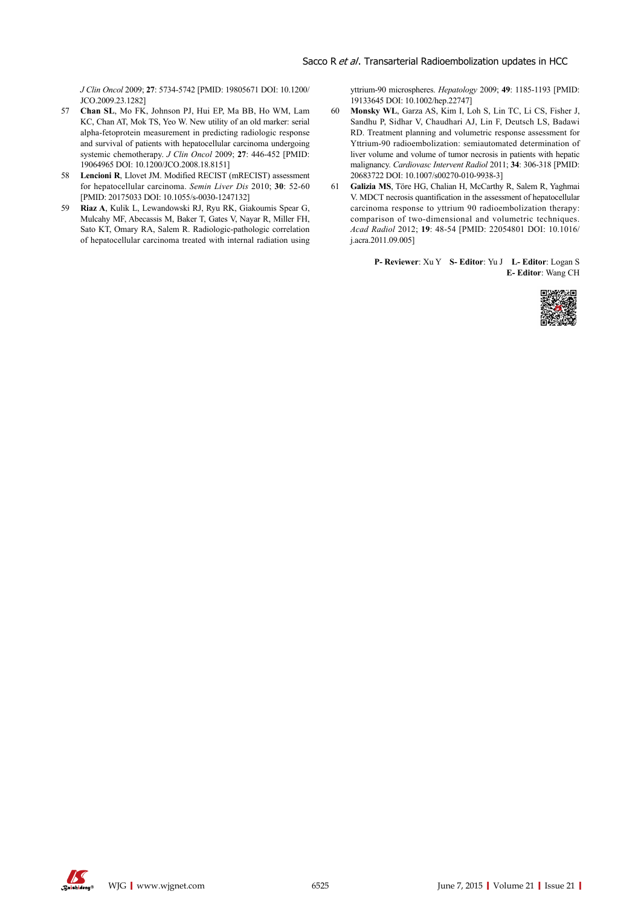*J Clin Oncol* 2009; **27**: 5734-5742 [PMID: 19805671 DOI: 10.1200/ JCO.2009.23.1282]

- 57 **Chan SL**, Mo FK, Johnson PJ, Hui EP, Ma BB, Ho WM, Lam KC, Chan AT, Mok TS, Yeo W. New utility of an old marker: serial alpha-fetoprotein measurement in predicting radiologic response and survival of patients with hepatocellular carcinoma undergoing systemic chemotherapy. *J Clin Oncol* 2009; **27**: 446-452 [PMID: 19064965 DOI: 10.1200/JCO.2008.18.8151]
- 58 **Lencioni R**, Llovet JM. Modified RECIST (mRECIST) assessment for hepatocellular carcinoma. *Semin Liver Dis* 2010; **30**: 52-60 [PMID: 20175033 DOI: 10.1055/s-0030-1247132]
- 59 **Riaz A**, Kulik L, Lewandowski RJ, Ryu RK, Giakoumis Spear G, Mulcahy MF, Abecassis M, Baker T, Gates V, Nayar R, Miller FH, Sato KT, Omary RA, Salem R. Radiologic-pathologic correlation of hepatocellular carcinoma treated with internal radiation using

yttrium-90 microspheres. *Hepatology* 2009; **49**: 1185-1193 [PMID: 19133645 DOI: 10.1002/hep.22747]

- 60 **Monsky WL**, Garza AS, Kim I, Loh S, Lin TC, Li CS, Fisher J, Sandhu P, Sidhar V, Chaudhari AJ, Lin F, Deutsch LS, Badawi RD. Treatment planning and volumetric response assessment for Yttrium-90 radioembolization: semiautomated determination of liver volume and volume of tumor necrosis in patients with hepatic malignancy. *Cardiovasc Intervent Radiol* 2011; **34**: 306-318 [PMID: 20683722 DOI: 10.1007/s00270-010-9938-3]
- 61 **Galizia MS**, Töre HG, Chalian H, McCarthy R, Salem R, Yaghmai V. MDCT necrosis quantification in the assessment of hepatocellular carcinoma response to yttrium 90 radioembolization therapy: comparison of two-dimensional and volumetric techniques. *Acad Radiol* 2012; **19**: 48-54 [PMID: 22054801 DOI: 10.1016/ j.acra.2011.09.005]

**P- Reviewer**: Xu Y **S- Editor**: Yu J **L- Editor**: Logan S **E- Editor**: Wang CH